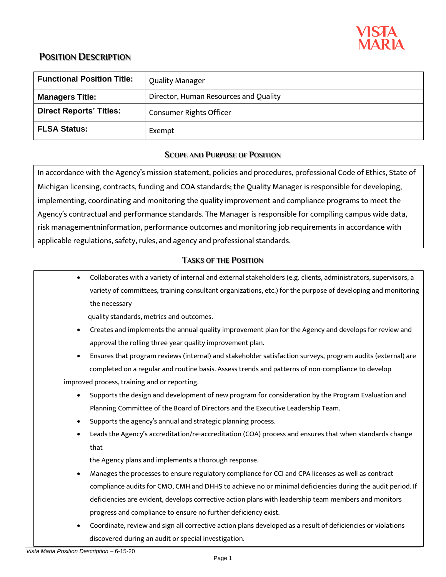

| <b>Functional Position Title:</b> | <b>Quality Manager</b>                |
|-----------------------------------|---------------------------------------|
| <b>Managers Title:</b>            | Director, Human Resources and Quality |
| <b>Direct Reports' Titles:</b>    | <b>Consumer Rights Officer</b>        |
| <b>FLSA Status:</b>               | Exempt                                |

## **SCOPE AND PURPOSE OF POSITION**

In accordance with the Agency's mission statement, policies and procedures, professional Code of Ethics, State of Michigan licensing, contracts, funding and COA standards; the Quality Manager is responsible for developing, implementing, coordinating and monitoring the quality improvement and compliance programs to meet the Agency's contractual and performance standards. The Manager is responsible for compiling campus wide data, risk managementninformation, performance outcomes and monitoring job requirements in accordance with applicable regulations, safety, rules, and agency and professional standards.

## **TASKS OF THE POSITION**

• Collaborates with a variety of internal and external stakeholders (e.g. clients, administrators, supervisors, a variety of committees, training consultant organizations, etc.) for the purpose of developing and monitoring the necessary

quality standards, metrics and outcomes.

- Creates and implements the annual quality improvement plan for the Agency and develops for review and approval the rolling three year quality improvement plan.
- Ensures that program reviews (internal) and stakeholder satisfaction surveys, program audits (external) are completed on a regular and routine basis. Assess trends and patterns of non-compliance to develop improved process, training and or reporting.
	- Supports the design and development of new program for consideration by the Program Evaluation and Planning Committee of the Board of Directors and the Executive Leadership Team.
	- Supports the agency's annual and strategic planning process.
	- Leads the Agency's accreditation/re-accreditation (COA) process and ensures that when standards change that

the Agency plans and implements a thorough response.

- Manages the processes to ensure regulatory compliance for CCI and CPA licenses as well as contract compliance audits for CMO, CMH and DHHS to achieve no or minimal deficiencies during the audit period. If deficiencies are evident, develops corrective action plans with leadership team members and monitors progress and compliance to ensure no further deficiency exist.
- Coordinate, review and sign all corrective action plans developed as a result of deficiencies or violations discovered during an audit or special investigation.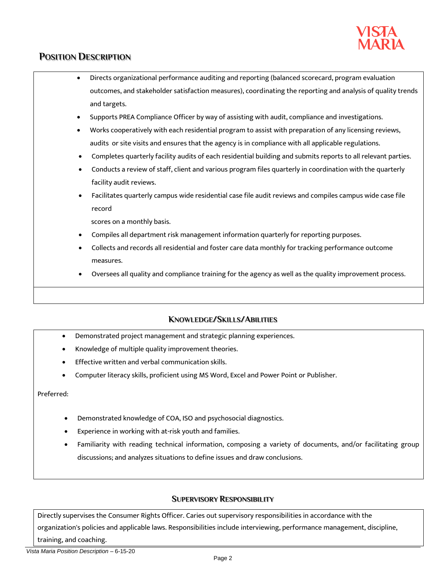

- Directs organizational performance auditing and reporting (balanced scorecard, program evaluation outcomes, and stakeholder satisfaction measures), coordinating the reporting and analysis of quality trends and targets.
- Supports PREA Compliance Officer by way of assisting with audit, compliance and investigations.
- Works cooperatively with each residential program to assist with preparation of any licensing reviews, audits or site visits and ensures that the agency is in compliance with all applicable regulations.
- Completes quarterly facility audits of each residential building and submits reports to all relevant parties.
- Conducts a review of staff, client and various program files quarterly in coordination with the quarterly facility audit reviews.
- Facilitates quarterly campus wide residential case file audit reviews and compiles campus wide case file record

scores on a monthly basis.

- Compiles all department risk management information quarterly for reporting purposes.
- Collects and records all residential and foster care data monthly for tracking performance outcome measures.
- Oversees all quality and compliance training for the agency as well as the quality improvement process.

### **KNOWLEDGE/SKILLS/ABILITIES**

- Demonstrated project management and strategic planning experiences.
- Knowledge of multiple quality improvement theories.
- Effective written and verbal communication skills.
- Computer literacy skills, proficient using MS Word, Excel and Power Point or Publisher.

Preferred:

- Demonstrated knowledge of COA, ISO and psychosocial diagnostics.
- Experience in working with at-risk youth and families.
- Familiarity with reading technical information, composing a variety of documents, and/or facilitating group discussions; and analyzes situations to define issues and draw conclusions.

### **SUPERVISORY RESPONSIBILITY**

Directly supervises the Consumer Rights Officer. Caries out supervisory responsibilities in accordance with the organization's policies and applicable laws. Responsibilities include interviewing, performance management, discipline, training, and coaching.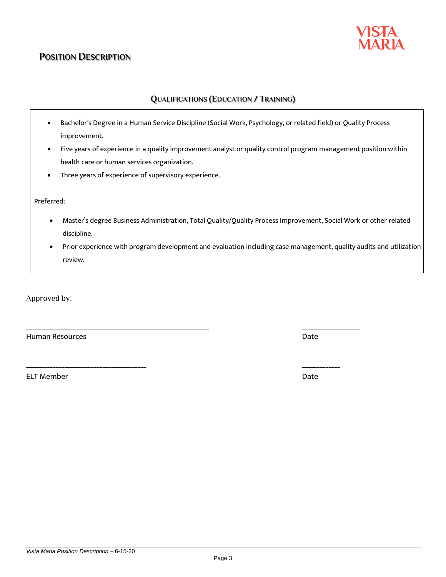## **QUALIFICATIONS (EDUCATION / TRAINING)**

- Bachelor's Degree in a Human Service Discipline (Social Work, Psychology, or related field) or Quality Process improvement.
- Five years of experience in a quality improvement analyst or quality control program management position within health care or human services organization.
- Three years of experience of supervisory experience.

Preferred:

- Master's degree Business Administration, Total Quality/Quality Process Improvement, Social Work or other related discipline.
- Prior experience with program development and evaluation including case management, quality audits and utilization review.

Approved by:

Human Resources Date

ELT Member Date Date of the United States of the United States of the United States of the United States of the United States of the United States of the United States of the United States of the United States of the Unite

Page 3

\_\_\_\_\_\_\_\_\_\_\_\_\_\_\_\_\_\_\_\_\_\_\_\_\_\_\_\_\_\_\_\_\_\_\_\_\_\_\_\_\_ \_\_\_\_\_\_\_\_\_\_\_\_\_

\_\_\_\_\_\_\_\_\_\_\_\_\_\_\_\_\_\_\_\_\_\_\_\_\_\_\_\_\_\_\_\_\_\_\_\_\_\_\_\_\_ \_\_\_\_\_\_\_\_\_\_\_\_\_